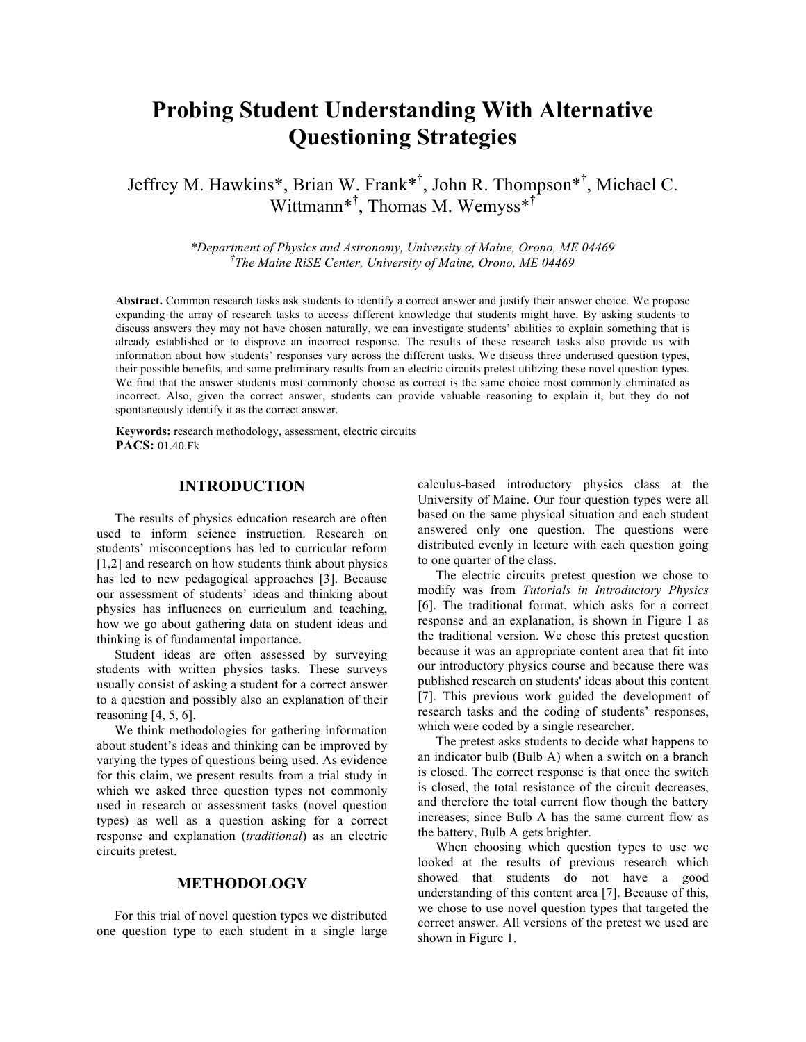# **Probing Student Understanding With Alternative Questioning Strategies**

Jeffrey M. Hawkins\*, Brian W. Frank\*† , John R. Thompson\*† , Michael C. Wittmann\*† , Thomas M. Wemyss\*†

> *\*Department of Physics and Astronomy, University of Maine, Orono, ME 04469 † The Maine RiSE Center, University of Maine, Orono, ME 04469*

**Abstract.** Common research tasks ask students to identify a correct answer and justify their answer choice. We propose expanding the array of research tasks to access different knowledge that students might have. By asking students to discuss answers they may not have chosen naturally, we can investigate students' abilities to explain something that is already established or to disprove an incorrect response. The results of these research tasks also provide us with information about how students' responses vary across the different tasks. We discuss three underused question types, their possible benefits, and some preliminary results from an electric circuits pretest utilizing these novel question types. We find that the answer students most commonly choose as correct is the same choice most commonly eliminated as incorrect. Also, given the correct answer, students can provide valuable reasoning to explain it, but they do not spontaneously identify it as the correct answer.

**Keywords:** research methodology, assessment, electric circuits **PACS:** 01.40.Fk

# **INTRODUCTION**

The results of physics education research are often used to inform science instruction. Research on students' misconceptions has led to curricular reform [1,2] and research on how students think about physics has led to new pedagogical approaches [3]. Because our assessment of students' ideas and thinking about physics has influences on curriculum and teaching, how we go about gathering data on student ideas and thinking is of fundamental importance.

Student ideas are often assessed by surveying students with written physics tasks. These surveys usually consist of asking a student for a correct answer to a question and possibly also an explanation of their reasoning  $[4, 5, 6]$ .

We think methodologies for gathering information about student's ideas and thinking can be improved by varying the types of questions being used. As evidence for this claim, we present results from a trial study in which we asked three question types not commonly used in research or assessment tasks (novel question types) as well as a question asking for a correct response and explanation (*traditional*) as an electric circuits pretest.

## **METHODOLOGY**

For this trial of novel question types we distributed one question type to each student in a single large

calculus-based introductory physics class at the University of Maine. Our four question types were all based on the same physical situation and each student answered only one question. The questions were distributed evenly in lecture with each question going to one quarter of the class.

The electric circuits pretest question we chose to modify was from *Tutorials in Introductory Physics*  [6]. The traditional format, which asks for a correct response and an explanation, is shown in Figure 1 as the traditional version. We chose this pretest question because it was an appropriate content area that fit into our introductory physics course and because there was published research on students' ideas about this content [7]. This previous work guided the development of research tasks and the coding of students' responses, which were coded by a single researcher.

The pretest asks students to decide what happens to an indicator bulb (Bulb A) when a switch on a branch is closed. The correct response is that once the switch is closed, the total resistance of the circuit decreases, and therefore the total current flow though the battery increases; since Bulb A has the same current flow as the battery, Bulb A gets brighter.

When choosing which question types to use we looked at the results of previous research which showed that students do not have a good understanding of this content area [7]. Because of this, we chose to use novel question types that targeted the correct answer. All versions of the pretest we used are shown in Figure 1.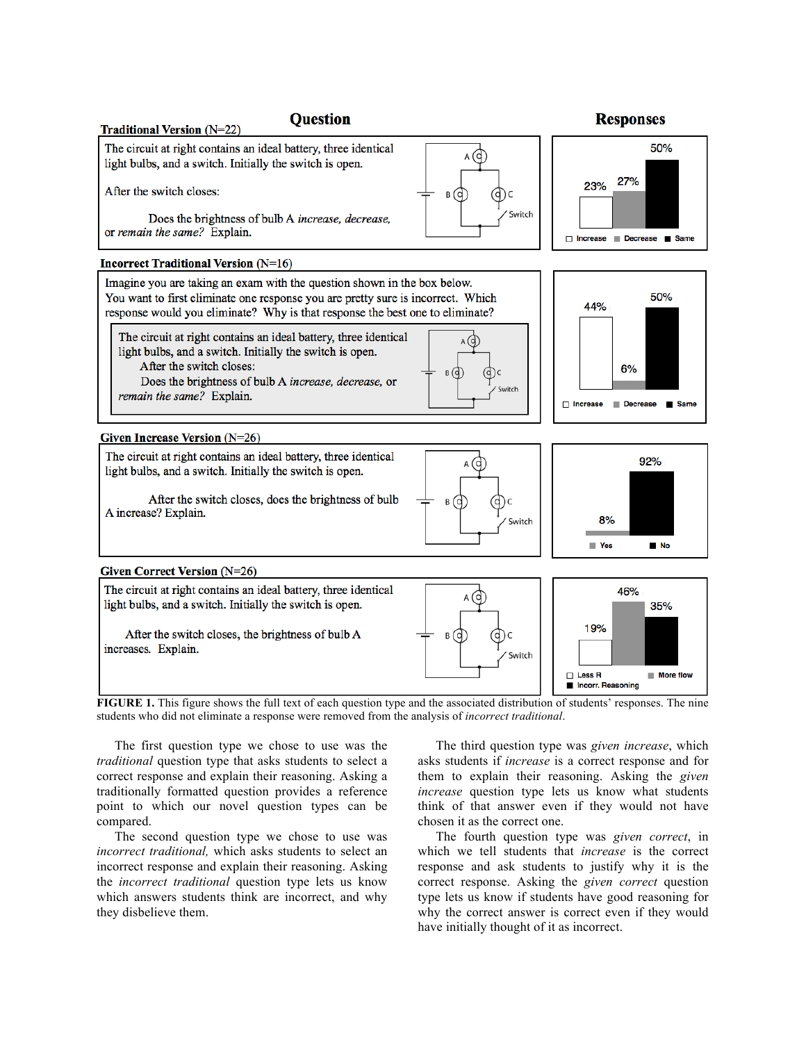

**FIGURE 1.** This figure shows the full text of each question type and the associated distribution of students' responses. The nine students who did not eliminate a response were removed from the analysis of *incorrect traditional*.

The first question type we chose to use was the *traditional* question type that asks students to select a correct response and explain their reasoning. Asking a traditionally formatted question provides a reference point to which our novel question types can be compared.

The second question type we chose to use was *incorrect traditional,* which asks students to select an incorrect response and explain their reasoning. Asking the *incorrect traditional* question type lets us know which answers students think are incorrect, and why they disbelieve them.

The third question type was *given increase*, which asks students if *increase* is a correct response and for them to explain their reasoning. Asking the *given increase* question type lets us know what students think of that answer even if they would not have chosen it as the correct one.

The fourth question type was *given correct*, in which we tell students that *increase* is the correct response and ask students to justify why it is the correct response. Asking the *given correct* question type lets us know if students have good reasoning for why the correct answer is correct even if they would have initially thought of it as incorrect.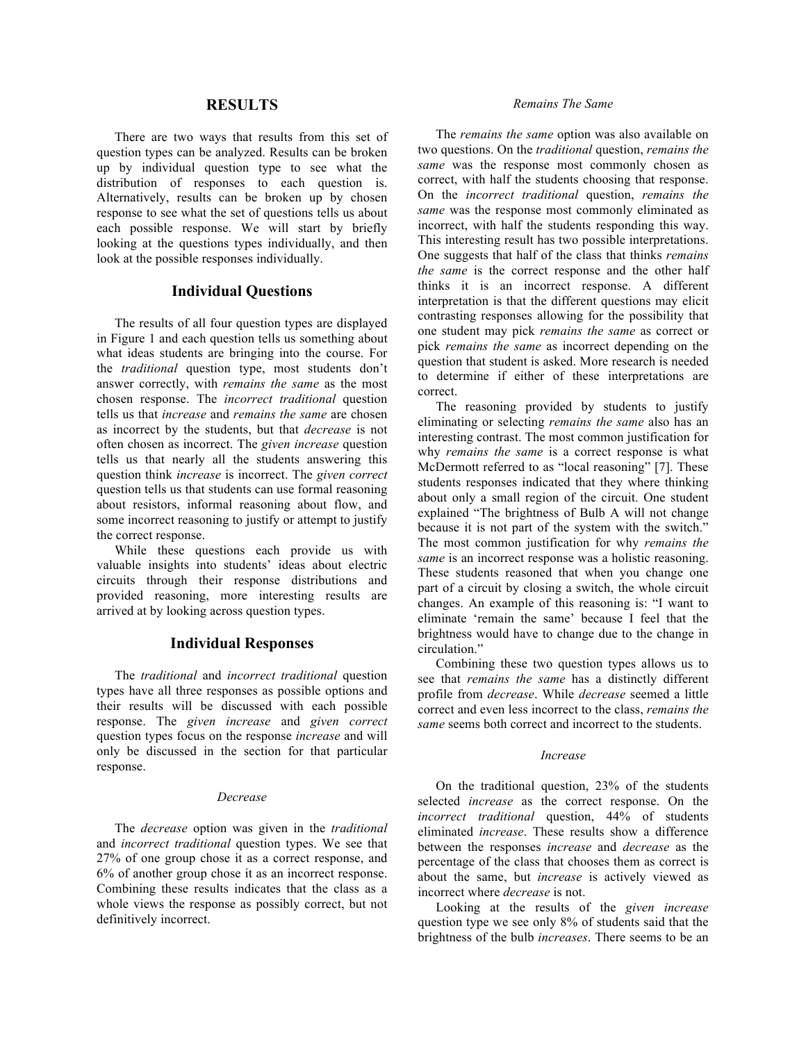# **RESULTS**

There are two ways that results from this set of question types can be analyzed. Results can be broken up by individual question type to see what the distribution of responses to each question is. Alternatively, results can be broken up by chosen response to see what the set of questions tells us about each possible response. We will start by briefly looking at the questions types individually, and then look at the possible responses individually.

# **Individual Questions**

The results of all four question types are displayed in Figure 1 and each question tells us something about what ideas students are bringing into the course. For the *traditional* question type, most students don't answer correctly, with *remains the same* as the most chosen response. The *incorrect traditional* question tells us that *increase* and *remains the same* are chosen as incorrect by the students, but that *decrease* is not often chosen as incorrect. The *given increase* question tells us that nearly all the students answering this question think *increase* is incorrect. The *given correct* question tells us that students can use formal reasoning about resistors, informal reasoning about flow, and some incorrect reasoning to justify or attempt to justify the correct response.

While these questions each provide us with valuable insights into students' ideas about electric circuits through their response distributions and provided reasoning, more interesting results are arrived at by looking across question types.

## **Individual Responses**

The *traditional* and *incorrect traditional* question types have all three responses as possible options and their results will be discussed with each possible response. The *given increase* and *given correct* question types focus on the response *increase* and will only be discussed in the section for that particular response.

#### *Decrease*

The *decrease* option was given in the *traditional* and *incorrect traditional* question types. We see that 27% of one group chose it as a correct response, and 6% of another group chose it as an incorrect response. Combining these results indicates that the class as a whole views the response as possibly correct, but not definitively incorrect.

### *Remains The Same*

The *remains the same* option was also available on two questions. On the *traditional* question, *remains the same* was the response most commonly chosen as correct, with half the students choosing that response. On the *incorrect traditional* question, *remains the same* was the response most commonly eliminated as incorrect, with half the students responding this way. This interesting result has two possible interpretations. One suggests that half of the class that thinks *remains the same* is the correct response and the other half thinks it is an incorrect response. A different interpretation is that the different questions may elicit contrasting responses allowing for the possibility that one student may pick *remains the same* as correct or pick *remains the same* as incorrect depending on the question that student is asked. More research is needed to determine if either of these interpretations are correct.

The reasoning provided by students to justify eliminating or selecting *remains the same* also has an interesting contrast. The most common justification for why *remains the same* is a correct response is what McDermott referred to as "local reasoning" [7]. These students responses indicated that they where thinking about only a small region of the circuit. One student explained "The brightness of Bulb A will not change because it is not part of the system with the switch." The most common justification for why *remains the same* is an incorrect response was a holistic reasoning. These students reasoned that when you change one part of a circuit by closing a switch, the whole circuit changes. An example of this reasoning is: "I want to eliminate 'remain the same' because I feel that the brightness would have to change due to the change in circulation."

Combining these two question types allows us to see that *remains the same* has a distinctly different profile from *decrease*. While *decrease* seemed a little correct and even less incorrect to the class, *remains the same* seems both correct and incorrect to the students.

#### *Increase*

On the traditional question, 23% of the students selected *increase* as the correct response. On the *incorrect traditional* question, 44% of students eliminated *increase*. These results show a difference between the responses *increase* and *decrease* as the percentage of the class that chooses them as correct is about the same, but *increase* is actively viewed as incorrect where *decrease* is not.

Looking at the results of the *given increase* question type we see only 8% of students said that the brightness of the bulb *increases*. There seems to be an